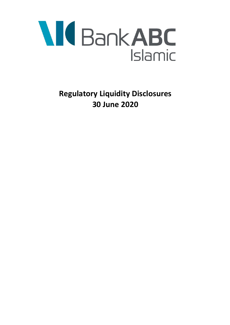

**Regulatory Liquidity Disclosures 30 June 2020**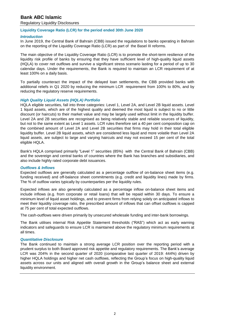# **Bank ABC Islamic**

Regulatory Liquidity Disclosures

## **Liquidity Coverage Ratio (LCR) for the period ended 30th June 2020**

## *Introduction*

In June 2019, the Central Bank of Bahrain (CBB) issued the regulations to banks operating in Bahrain on the reporting of the Liquidity Coverage Ratio (LCR) as part of the Basel III reforms.

The main objective of the Liquidity Coverage Ratio (LCR) is to promote the short-term resilience of the liquidity risk profile of banks by ensuring that they have sufficient level of high-quality liquid assets (HQLA) to cover net outflows and survive a significant stress scenario lasting for a period of up to 30 calendar days. Under the requirements, the Bank is required to maintain an LCR requirement of at least 100% on a daily basis.

To partially counteract the impact of the delayed loan settlements, the CBB provided banks with additional reliefs in Q1 2020 by reducing the minimum LCR requirement from 100% to 80%, and by reducing the regulatory reserve requirements.

## *High Quality Liquid Assets (HQLA) Portfolio*

HQLA eligible securities, fall into three categories: Level 1, Level 2A, and Level 2B liquid assets. Level 1 liquid assets, which are of the highest quality and deemed the most liquid is subject to no or little discount (or haircuts) to their market value and may be largely used without limit in the liquidity buffer. Level 2A and 2B securities are recognised as being relatively stable and reliable sources of liquidity, but not to the same extent as Level 1 assets. LCR rules therefore set a 40 per cent composition cap on the combined amount of Level 2A and Level 2B securities that firms may hold in their total eligible liquidity buffer. Level 2B liquid assets, which are considered less liquid and more volatile than Level 2A liquid assets, are subject to large and varying haircuts and may not exceed 15 per cent of the total eligible HQLA.

Bank's HQLA comprised primarily "Level 1" securities (85%) with the Central Bank of Bahrain (CBB) and the sovereign and central banks of countries where the Bank has branches and subsidiaries, and also include highly rated corporate debt issuances.

### *Outflows & Inflows*

Expected outflows are generally calculated as a percentage outflow of on-balance sheet items (e.g. funding received) and off-balance sheet commitments (e.g. credit and liquidity lines) made by firms. The % of outflow varies typically by counterparties per the liquidity rules.

Expected inflows are also generally calculated as a percentage inflow on-balance sheet items and include inflows (e.g. from corporate or retail loans) that will be repaid within 30 days. To ensure a minimum level of liquid asset holdings, and to prevent firms from relying solely on anticipated inflows to meet their liquidity coverage ratio, the prescribed amount of inflows that can offset outflows is capped at 75 per cent of total expected outflows.

The cash-outflows were driven primarily by unsecured wholesale funding and inter-bank borrowings.

The Bank utilises internal Risk Appetite Statement thresholds ("RAS") which act as early warning indicators and safeguards to ensure LCR is maintained above the regulatory minimum requirements at all times.

### *Quantitative Disclosure*

The Bank continued to maintain a strong average LCR position over the reporting period with a prudent surplus to both Board approved risk appetite and regulatory requirements. The Bank's average LCR was 204% in the second quarter of 2020 (comparative last quarter of 2019: 444%) driven by higher HQLA holdings and higher net cash outflows, reflecting the Group's focus on high-quality liquid assets across our units and aligned with overall growth in the Group's balance sheet and external liquidity environment.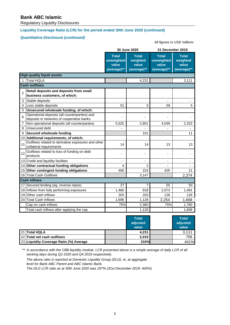# **Bank ABC Islamic**

Regulatory Liquidity Disclosures

# **Liquidity Coverage Ratio (LCR) for the period ended 30th June 2020 (continued)**

# *Quantitative Disclosure (continued)*

#### *All figures in US\$ 'millions*

|                      |                                                                                            |                                                    | 30 June 2020                                     | 31 December 2019                                   |                                                  |  |  |  |  |
|----------------------|--------------------------------------------------------------------------------------------|----------------------------------------------------|--------------------------------------------------|----------------------------------------------------|--------------------------------------------------|--|--|--|--|
|                      |                                                                                            | <b>Total</b><br>unweighted<br>value<br>(average)** | <b>Total</b><br>weighted<br>value<br>(average)** | <b>Total</b><br>unweighted<br>value<br>(average)** | <b>Total</b><br>weighted<br>value<br>(average)** |  |  |  |  |
|                      | <b>High-quality liquid assets</b>                                                          |                                                    |                                                  |                                                    |                                                  |  |  |  |  |
| 1                    | <b>Total HQLA</b>                                                                          |                                                    | 4,231                                            |                                                    | 3,111                                            |  |  |  |  |
| <b>Cash outflows</b> |                                                                                            |                                                    |                                                  |                                                    |                                                  |  |  |  |  |
| $\overline{2}$       | Retail deposits and deposits from small<br>business customers, of which:                   |                                                    |                                                  |                                                    |                                                  |  |  |  |  |
| 3                    | Stable deposits                                                                            |                                                    |                                                  | $\overline{\phantom{a}}$                           | $\blacksquare$                                   |  |  |  |  |
| $\overline{4}$       | Less stable deposits                                                                       | 51                                                 | 5                                                | 59                                                 | 5                                                |  |  |  |  |
| 5                    | Unsecured wholesale funding, of which:                                                     |                                                    |                                                  |                                                    |                                                  |  |  |  |  |
| 6                    | Operational deposits (all counterparties) and                                              | ä,                                                 | ä,                                               | $\blacksquare$                                     |                                                  |  |  |  |  |
| $\overline{7}$       | deposits in networks of cooperative banks<br>Non-operational deposits (all counterparties) | 5,525                                              | 2,801                                            | 4,039                                              | 2,323                                            |  |  |  |  |
| 8                    | Unsecured debt                                                                             |                                                    |                                                  |                                                    |                                                  |  |  |  |  |
| 9                    | Secured wholesale funding                                                                  |                                                    | 101                                              |                                                    | 11                                               |  |  |  |  |
| 10                   | Additional requirements, of which:                                                         |                                                    |                                                  |                                                    |                                                  |  |  |  |  |
| 11                   | Outflows related to derivative exposures and other<br>collateral requirements              | 14                                                 | 14                                               | 13                                                 | 13                                               |  |  |  |  |
| 12                   | Outflows related to loss of funding on debt<br>products                                    |                                                    |                                                  |                                                    |                                                  |  |  |  |  |
|                      | 13 Credit and liquidity facilities                                                         | $\qquad \qquad \blacksquare$                       | -                                                | $\overline{\phantom{a}}$                           | ۰                                                |  |  |  |  |
|                      | 14 Other contractual funding obligations                                                   | 4                                                  | 2                                                | $\overline{\phantom{a}}$                           |                                                  |  |  |  |  |
|                      | 15 Other contingent funding obligations                                                    | 490                                                | 224                                              | 425                                                | 21                                               |  |  |  |  |
|                      | 16 Total Cash Outflows                                                                     |                                                    | 3,147                                            |                                                    | 2,374                                            |  |  |  |  |
|                      | <b>Cash inflows</b>                                                                        |                                                    |                                                  |                                                    |                                                  |  |  |  |  |
| 17                   | Secured lending (eg. reverse repos)                                                        | 27                                                 | 7                                                | 55                                                 | 50                                               |  |  |  |  |
|                      | 18 Inflows from fully performing exposures                                                 | 1,466                                              | 918                                              | 2,073                                              | 1,491                                            |  |  |  |  |
|                      | 19 Other cash inflows                                                                      | 203                                                | 203                                              | 126                                                | 126                                              |  |  |  |  |
| 20                   | <b>Total Cash Inflows</b>                                                                  | 1,696                                              | 1,128                                            | 2,254                                              | 1,668                                            |  |  |  |  |
|                      | Cap on cash inflows                                                                        | 75%                                                | 2,360                                            | 75%                                                | 1,780                                            |  |  |  |  |
|                      | Total cash inflows after applying the cap                                                  |                                                    | 1,128                                            |                                                    | 1,668                                            |  |  |  |  |

|                                         | <b>Total</b><br>adjusted<br>value | <b>Total</b><br>adjusted<br>value |
|-----------------------------------------|-----------------------------------|-----------------------------------|
| 21 Total HQLA                           | 4,231                             | 3.111                             |
| 22 Total net cash outflows              | 2,019                             | 706                               |
| 23 Liquidity Coverage Ratio (%) Average | 210%                              | 441%                              |

\*\* *In accordance with the CBB liquidity module, LCR presented above is a simple average of daily LCR of all working days during Q2 2020 and Q4 2019 respectively.*

*The above ratio is reported at Domestic Liquidity Group (DLG). ie, at aggregate level for Bank ABC Parent and ABC Islamic Bank.* 

*The DLG LCR ratio as at 30th June 2020 was 197% (31st December 2019: 445%).*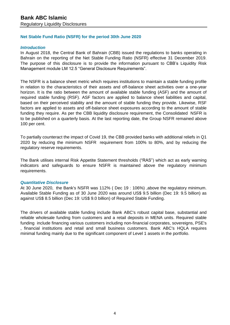# **Net Stable Fund Ratio (NSFR) for the period 30th June 2020**

# *Introduction*

In August 2018, the Central Bank of Bahrain (CBB) issued the regulations to banks operating in Bahrain on the reporting of the Net Stable Funding Ratio (NSFR) effective 31 December 2019. The purpose of this disclosure is to provide the information pursuant to CBB's Liquidity Risk Management module LM 12.5 "General Disclosure Requirements".

The NSFR is a balance sheet metric which requires institutions to maintain a stable funding profile in relation to the characteristics of their assets and off-balance sheet activities over a one-year horizon. It is the ratio between the amount of available stable funding (ASF) and the amount of required stable funding (RSF). ASF factors are applied to balance sheet liabilities and capital, based on their perceived stability and the amount of stable funding they provide. Likewise, RSF factors are applied to assets and off-balance sheet exposures according to the amount of stable funding they require. As per the CBB liquidity disclosure requirement, the Consolidated NSFR is to be published on a quarterly basis. At the last reporting date, the Group NSFR remained above 100 per cent.

To partially counteract the impact of Covid 19, the CBB provided banks with additional reliefs in Q1 2020 by reducing the minimum NSFR requirement from 100% to 80%, and by reducing the regulatory reserve requirements.

The Bank utilises internal Risk Appetite Statement thresholds ("RAS") which act as early warning indicators and safeguards to ensure NSFR is maintained above the regulatory minimum requirements.

# *Quantitative Disclosure*

At 30 June 2020, the Bank's NSFR was 112% ( Dec 19 : 106%) ,above the regulatory minimum. Available Stable Funding as of 30 June 2020 was around US\$ 9.5 billion (Dec 19: 9.5 billion) as against US\$ 8.5 billion (Dec 19: US\$ 9.0 billion) of Required Stable Funding.

The drivers of available stable funding include Bank ABC's robust capital base, substantial and reliable wholesale funding from customers and a retail deposits in MENA units. Required stable funding include financing various customers including non-financial corporates, sovereigns, PSE's , financial institutions and retail and small business customers. Bank ABC's HQLA requires minimal funding mainly due to the significant component of Level 1 assets in the portfolio.